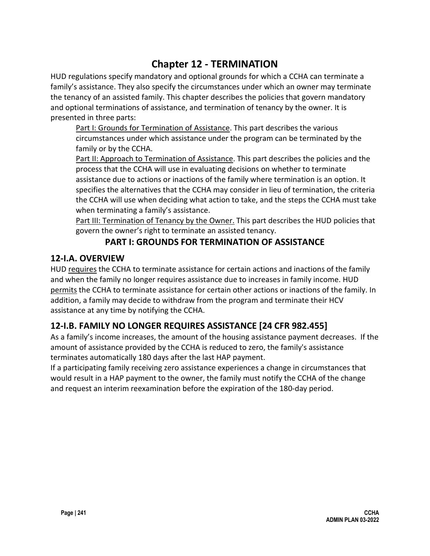# **Chapter 12 - TERMINATION**

HUD regulations specify mandatory and optional grounds for which a CCHA can terminate a family's assistance. They also specify the circumstances under which an owner may terminate the tenancy of an assisted family. This chapter describes the policies that govern mandatory and optional terminations of assistance, and termination of tenancy by the owner. It is presented in three parts:

Part I: Grounds for Termination of Assistance. This part describes the various circumstances under which assistance under the program can be terminated by the family or by the CCHA.

Part II: Approach to Termination of Assistance. This part describes the policies and the process that the CCHA will use in evaluating decisions on whether to terminate assistance due to actions or inactions of the family where termination is an option. It specifies the alternatives that the CCHA may consider in lieu of termination, the criteria the CCHA will use when deciding what action to take, and the steps the CCHA must take when terminating a family's assistance.

Part III: Termination of Tenancy by the Owner. This part describes the HUD policies that govern the owner's right to terminate an assisted tenancy.

## **PART I: GROUNDS FOR TERMINATION OF ASSISTANCE**

## **12-I.A. OVERVIEW**

HUD requires the CCHA to terminate assistance for certain actions and inactions of the family and when the family no longer requires assistance due to increases in family income. HUD permits the CCHA to terminate assistance for certain other actions or inactions of the family. In addition, a family may decide to withdraw from the program and terminate their HCV assistance at any time by notifying the CCHA.

## **12-I.B. FAMILY NO LONGER REQUIRES ASSISTANCE [24 CFR 982.455]**

As a family's income increases, the amount of the housing assistance payment decreases. If the amount of assistance provided by the CCHA is reduced to zero, the family's assistance terminates automatically 180 days after the last HAP payment.

If a participating family receiving zero assistance experiences a change in circumstances that would result in a HAP payment to the owner, the family must notify the CCHA of the change and request an interim reexamination before the expiration of the 180-day period.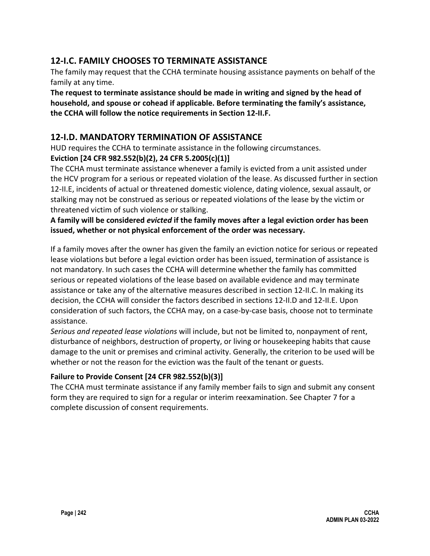### **12-I.C. FAMILY CHOOSES TO TERMINATE ASSISTANCE**

The family may request that the CCHA terminate housing assistance payments on behalf of the family at any time.

**The request to terminate assistance should be made in writing and signed by the head of household, and spouse or cohead if applicable. Before terminating the family's assistance, the CCHA will follow the notice requirements in Section 12-II.F.**

### **12-I.D. MANDATORY TERMINATION OF ASSISTANCE**

HUD requires the CCHA to terminate assistance in the following circumstances.

#### **Eviction [24 CFR 982.552(b)(2), 24 CFR 5.2005(c)(1)]**

The CCHA must terminate assistance whenever a family is evicted from a unit assisted under the HCV program for a serious or repeated violation of the lease. As discussed further in section 12-II.E, incidents of actual or threatened domestic violence, dating violence, sexual assault, or stalking may not be construed as serious or repeated violations of the lease by the victim or threatened victim of such violence or stalking.

#### **A family will be considered** *evicted* **if the family moves after a legal eviction order has been issued, whether or not physical enforcement of the order was necessary.**

If a family moves after the owner has given the family an eviction notice for serious or repeated lease violations but before a legal eviction order has been issued, termination of assistance is not mandatory. In such cases the CCHA will determine whether the family has committed serious or repeated violations of the lease based on available evidence and may terminate assistance or take any of the alternative measures described in section 12-II.C. In making its decision, the CCHA will consider the factors described in sections 12-II.D and 12-II.E. Upon consideration of such factors, the CCHA may, on a case-by-case basis, choose not to terminate assistance.

*Serious and repeated lease violations* will include, but not be limited to, nonpayment of rent, disturbance of neighbors, destruction of property, or living or housekeeping habits that cause damage to the unit or premises and criminal activity. Generally, the criterion to be used will be whether or not the reason for the eviction was the fault of the tenant or guests.

#### **Failure to Provide Consent [24 CFR 982.552(b)(3)]**

The CCHA must terminate assistance if any family member fails to sign and submit any consent form they are required to sign for a regular or interim reexamination. See Chapter 7 for a complete discussion of consent requirements.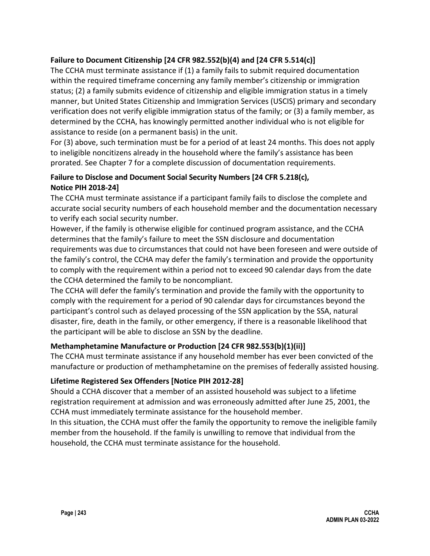### **Failure to Document Citizenship [24 CFR 982.552(b)(4) and [24 CFR 5.514(c)]**

The CCHA must terminate assistance if (1) a family fails to submit required documentation within the required timeframe concerning any family member's citizenship or immigration status; (2) a family submits evidence of citizenship and eligible immigration status in a timely manner, but United States Citizenship and Immigration Services (USCIS) primary and secondary verification does not verify eligible immigration status of the family; or (3) a family member, as determined by the CCHA, has knowingly permitted another individual who is not eligible for assistance to reside (on a permanent basis) in the unit.

For (3) above, such termination must be for a period of at least 24 months. This does not apply to ineligible noncitizens already in the household where the family's assistance has been prorated. See Chapter 7 for a complete discussion of documentation requirements.

### **Failure to Disclose and Document Social Security Numbers [24 CFR 5.218(c), Notice PIH 2018-24]**

The CCHA must terminate assistance if a participant family fails to disclose the complete and accurate social security numbers of each household member and the documentation necessary to verify each social security number.

However, if the family is otherwise eligible for continued program assistance, and the CCHA determines that the family's failure to meet the SSN disclosure and documentation requirements was due to circumstances that could not have been foreseen and were outside of the family's control, the CCHA may defer the family's termination and provide the opportunity to comply with the requirement within a period not to exceed 90 calendar days from the date the CCHA determined the family to be noncompliant.

The CCHA will defer the family's termination and provide the family with the opportunity to comply with the requirement for a period of 90 calendar days for circumstances beyond the participant's control such as delayed processing of the SSN application by the SSA, natural disaster, fire, death in the family, or other emergency, if there is a reasonable likelihood that the participant will be able to disclose an SSN by the deadline.

#### **Methamphetamine Manufacture or Production [24 CFR 982.553(b)(1)(ii)]**

The CCHA must terminate assistance if any household member has ever been convicted of the manufacture or production of methamphetamine on the premises of federally assisted housing.

#### **Lifetime Registered Sex Offenders [Notice PIH 2012-28]**

Should a CCHA discover that a member of an assisted household was subject to a lifetime registration requirement at admission and was erroneously admitted after June 25, 2001, the CCHA must immediately terminate assistance for the household member.

In this situation, the CCHA must offer the family the opportunity to remove the ineligible family member from the household. If the family is unwilling to remove that individual from the household, the CCHA must terminate assistance for the household.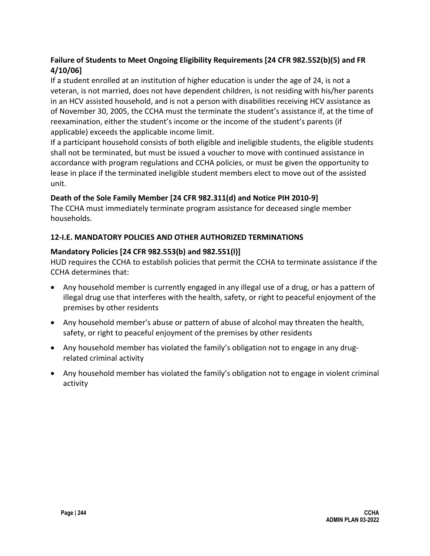### **Failure of Students to Meet Ongoing Eligibility Requirements [24 CFR 982.552(b)(5) and FR 4/10/06]**

If a student enrolled at an institution of higher education is under the age of 24, is not a veteran, is not married, does not have dependent children, is not residing with his/her parents in an HCV assisted household, and is not a person with disabilities receiving HCV assistance as of November 30, 2005, the CCHA must the terminate the student's assistance if, at the time of reexamination, either the student's income or the income of the student's parents (if applicable) exceeds the applicable income limit.

If a participant household consists of both eligible and ineligible students, the eligible students shall not be terminated, but must be issued a voucher to move with continued assistance in accordance with program regulations and CCHA policies, or must be given the opportunity to lease in place if the terminated ineligible student members elect to move out of the assisted unit.

#### **Death of the Sole Family Member [24 CFR 982.311(d) and Notice PIH 2010-9]**

The CCHA must immediately terminate program assistance for deceased single member households.

#### **12-I.E. MANDATORY POLICIES AND OTHER AUTHORIZED TERMINATIONS**

#### **Mandatory Policies [24 CFR 982.553(b) and 982.551(l)]**

HUD requires the CCHA to establish policies that permit the CCHA to terminate assistance if the CCHA determines that:

- Any household member is currently engaged in any illegal use of a drug, or has a pattern of illegal drug use that interferes with the health, safety, or right to peaceful enjoyment of the premises by other residents
- Any household member's abuse or pattern of abuse of alcohol may threaten the health, safety, or right to peaceful enjoyment of the premises by other residents
- Any household member has violated the family's obligation not to engage in any drugrelated criminal activity
- Any household member has violated the family's obligation not to engage in violent criminal activity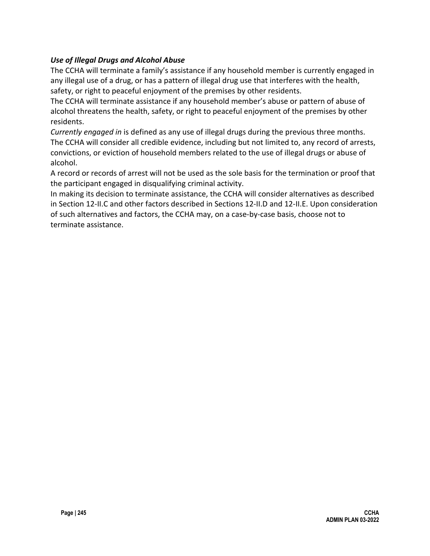#### *Use of Illegal Drugs and Alcohol Abuse*

The CCHA will terminate a family's assistance if any household member is currently engaged in any illegal use of a drug, or has a pattern of illegal drug use that interferes with the health, safety, or right to peaceful enjoyment of the premises by other residents.

The CCHA will terminate assistance if any household member's abuse or pattern of abuse of alcohol threatens the health, safety, or right to peaceful enjoyment of the premises by other residents.

*Currently engaged in* is defined as any use of illegal drugs during the previous three months. The CCHA will consider all credible evidence, including but not limited to, any record of arrests, convictions, or eviction of household members related to the use of illegal drugs or abuse of alcohol.

A record or records of arrest will not be used as the sole basis for the termination or proof that the participant engaged in disqualifying criminal activity.

In making its decision to terminate assistance, the CCHA will consider alternatives as described in Section 12-II.C and other factors described in Sections 12-II.D and 12-II.E. Upon consideration of such alternatives and factors, the CCHA may, on a case-by-case basis, choose not to terminate assistance.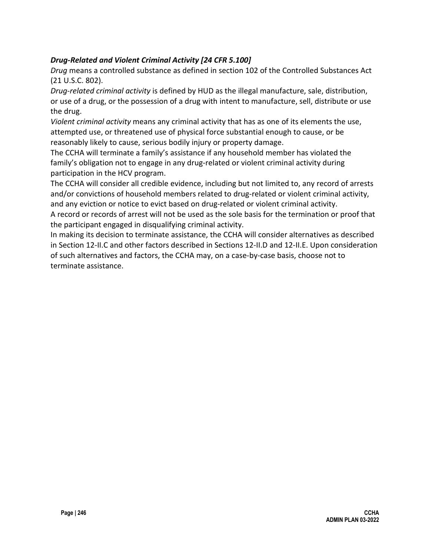#### *Drug-Related and Violent Criminal Activity [24 CFR 5.100]*

*Drug* means a controlled substance as defined in section 102 of the Controlled Substances Act (21 U.S.C. 802).

*Drug-related criminal activity* is defined by HUD as the illegal manufacture, sale, distribution, or use of a drug, or the possession of a drug with intent to manufacture, sell, distribute or use the drug.

*Violent criminal activity* means any criminal activity that has as one of its elements the use, attempted use, or threatened use of physical force substantial enough to cause, or be reasonably likely to cause, serious bodily injury or property damage.

The CCHA will terminate a family's assistance if any household member has violated the family's obligation not to engage in any drug-related or violent criminal activity during participation in the HCV program.

The CCHA will consider all credible evidence, including but not limited to, any record of arrests and/or convictions of household members related to drug-related or violent criminal activity, and any eviction or notice to evict based on drug-related or violent criminal activity.

A record or records of arrest will not be used as the sole basis for the termination or proof that the participant engaged in disqualifying criminal activity.

In making its decision to terminate assistance, the CCHA will consider alternatives as described in Section 12-II.C and other factors described in Sections 12-II.D and 12-II.E. Upon consideration of such alternatives and factors, the CCHA may, on a case-by-case basis, choose not to terminate assistance.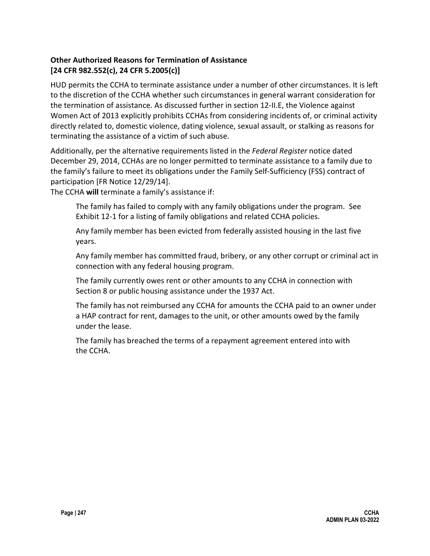### **Other Authorized Reasons for Termination of Assistance [24 CFR 982.552(c), 24 CFR 5.2005(c)]**

HUD permits the CCHA to terminate assistance under a number of other circumstances. It is left to the discretion of the CCHA whether such circumstances in general warrant consideration for the termination of assistance. As discussed further in section 12-II.E, the Violence against Women Act of 2013 explicitly prohibits CCHAs from considering incidents of, or criminal activity directly related to, domestic violence, dating violence, sexual assault, or stalking as reasons for terminating the assistance of a victim of such abuse.

Additionally, per the alternative requirements listed in the *Federal Register* notice dated December 29, 2014, CCHAs are no longer permitted to terminate assistance to a family due to the family's failure to meet its obligations under the Family Self-Sufficiency (FSS) contract of participation [FR Notice 12/29/14].

The CCHA **will** terminate a family's assistance if:

The family has failed to comply with any family obligations under the program. See Exhibit 12-1 for a listing of family obligations and related CCHA policies.

Any family member has been evicted from federally assisted housing in the last five years.

Any family member has committed fraud, bribery, or any other corrupt or criminal act in connection with any federal housing program.

The family currently owes rent or other amounts to any CCHA in connection with Section 8 or public housing assistance under the 1937 Act.

The family has not reimbursed any CCHA for amounts the CCHA paid to an owner under a HAP contract for rent, damages to the unit, or other amounts owed by the family under the lease.

The family has breached the terms of a repayment agreement entered into with the CCHA.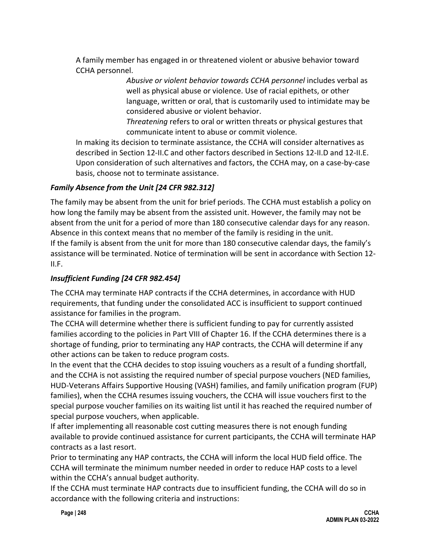A family member has engaged in or threatened violent or abusive behavior toward CCHA personnel.

> *Abusive or violent behavior towards CCHA personnel* includes verbal as well as physical abuse or violence. Use of racial epithets, or other language, written or oral, that is customarily used to intimidate may be considered abusive or violent behavior.

*Threatening* refers to oral or written threats or physical gestures that communicate intent to abuse or commit violence.

In making its decision to terminate assistance, the CCHA will consider alternatives as described in Section 12-II.C and other factors described in Sections 12-II.D and 12-II.E. Upon consideration of such alternatives and factors, the CCHA may, on a case-by-case basis, choose not to terminate assistance.

#### *Family Absence from the Unit [24 CFR 982.312]*

The family may be absent from the unit for brief periods. The CCHA must establish a policy on how long the family may be absent from the assisted unit. However, the family may not be absent from the unit for a period of more than 180 consecutive calendar days for any reason. Absence in this context means that no member of the family is residing in the unit. If the family is absent from the unit for more than 180 consecutive calendar days, the family's assistance will be terminated. Notice of termination will be sent in accordance with Section 12- II.F.

### *Insufficient Funding [24 CFR 982.454]*

The CCHA may terminate HAP contracts if the CCHA determines, in accordance with HUD requirements, that funding under the consolidated ACC is insufficient to support continued assistance for families in the program.

The CCHA will determine whether there is sufficient funding to pay for currently assisted families according to the policies in Part VIII of Chapter 16. If the CCHA determines there is a shortage of funding, prior to terminating any HAP contracts, the CCHA will determine if any other actions can be taken to reduce program costs.

In the event that the CCHA decides to stop issuing vouchers as a result of a funding shortfall, and the CCHA is not assisting the required number of special purpose vouchers (NED families, HUD-Veterans Affairs Supportive Housing (VASH) families, and family unification program (FUP) families), when the CCHA resumes issuing vouchers, the CCHA will issue vouchers first to the special purpose voucher families on its waiting list until it has reached the required number of special purpose vouchers, when applicable.

If after implementing all reasonable cost cutting measures there is not enough funding available to provide continued assistance for current participants, the CCHA will terminate HAP contracts as a last resort.

Prior to terminating any HAP contracts, the CCHA will inform the local HUD field office. The CCHA will terminate the minimum number needed in order to reduce HAP costs to a level within the CCHA's annual budget authority.

If the CCHA must terminate HAP contracts due to insufficient funding, the CCHA will do so in accordance with the following criteria and instructions: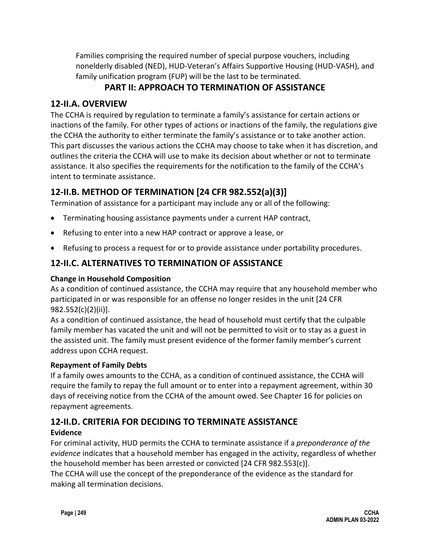Families comprising the required number of special purpose vouchers, including nonelderly disabled (NED), HUD-Veteran's Affairs Supportive Housing (HUD-VASH), and family unification program (FUP) will be the last to be terminated.

## **PART II: APPROACH TO TERMINATION OF ASSISTANCE**

### **12-II.A. OVERVIEW**

The CCHA is required by regulation to terminate a family's assistance for certain actions or inactions of the family. For other types of actions or inactions of the family, the regulations give the CCHA the authority to either terminate the family's assistance or to take another action. This part discusses the various actions the CCHA may choose to take when it has discretion, and outlines the criteria the CCHA will use to make its decision about whether or not to terminate assistance. It also specifies the requirements for the notification to the family of the CCHA's intent to terminate assistance.

## **12-II.B. METHOD OF TERMINATION [24 CFR 982.552(a)(3)]**

Termination of assistance for a participant may include any or all of the following:

- Terminating housing assistance payments under a current HAP contract,
- Refusing to enter into a new HAP contract or approve a lease, or
- Refusing to process a request for or to provide assistance under portability procedures.

## **12-II.C. ALTERNATIVES TO TERMINATION OF ASSISTANCE**

#### **Change in Household Composition**

As a condition of continued assistance, the CCHA may require that any household member who participated in or was responsible for an offense no longer resides in the unit [24 CFR 982.552(c)(2)(ii)].

As a condition of continued assistance, the head of household must certify that the culpable family member has vacated the unit and will not be permitted to visit or to stay as a guest in the assisted unit. The family must present evidence of the former family member's current address upon CCHA request.

#### **Repayment of Family Debts**

If a family owes amounts to the CCHA, as a condition of continued assistance, the CCHA will require the family to repay the full amount or to enter into a repayment agreement, within 30 days of receiving notice from the CCHA of the amount owed. See Chapter 16 for policies on repayment agreements.

## **12-II.D. CRITERIA FOR DECIDING TO TERMINATE ASSISTANCE**

### **Evidence**

For criminal activity, HUD permits the CCHA to terminate assistance if a *preponderance of the evidence* indicates that a household member has engaged in the activity, regardless of whether the household member has been arrested or convicted [24 CFR 982.553(c)].

The CCHA will use the concept of the preponderance of the evidence as the standard for making all termination decisions.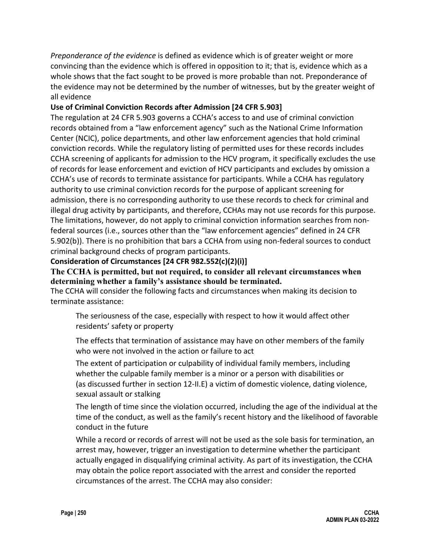*Preponderance of the evidence* is defined as evidence which is of greater weight or more convincing than the evidence which is offered in opposition to it; that is, evidence which as a whole shows that the fact sought to be proved is more probable than not. Preponderance of the evidence may not be determined by the number of witnesses, but by the greater weight of all evidence

#### **Use of Criminal Conviction Records after Admission [24 CFR 5.903]**

The regulation at 24 CFR 5.903 governs a CCHA's access to and use of criminal conviction records obtained from a "law enforcement agency" such as the National Crime Information Center (NCIC), police departments, and other law enforcement agencies that hold criminal conviction records. While the regulatory listing of permitted uses for these records includes CCHA screening of applicants for admission to the HCV program, it specifically excludes the use of records for lease enforcement and eviction of HCV participants and excludes by omission a CCHA's use of records to terminate assistance for participants. While a CCHA has regulatory authority to use criminal conviction records for the purpose of applicant screening for admission, there is no corresponding authority to use these records to check for criminal and illegal drug activity by participants, and therefore, CCHAs may not use records for this purpose. The limitations, however, do not apply to criminal conviction information searches from nonfederal sources (i.e., sources other than the "law enforcement agencies" defined in 24 CFR 5.902(b)). There is no prohibition that bars a CCHA from using non-federal sources to conduct criminal background checks of program participants.

#### **Consideration of Circumstances [24 CFR 982.552(c)(2)(i)]**

**The CCHA is permitted, but not required, to consider all relevant circumstances when determining whether a family's assistance should be terminated.** 

The CCHA will consider the following facts and circumstances when making its decision to terminate assistance:

The seriousness of the case, especially with respect to how it would affect other residents' safety or property

The effects that termination of assistance may have on other members of the family who were not involved in the action or failure to act

The extent of participation or culpability of individual family members, including whether the culpable family member is a minor or a person with disabilities or (as discussed further in section 12-II.E) a victim of domestic violence, dating violence, sexual assault or stalking

The length of time since the violation occurred, including the age of the individual at the time of the conduct, as well as the family's recent history and the likelihood of favorable conduct in the future

While a record or records of arrest will not be used as the sole basis for termination, an arrest may, however, trigger an investigation to determine whether the participant actually engaged in disqualifying criminal activity. As part of its investigation, the CCHA may obtain the police report associated with the arrest and consider the reported circumstances of the arrest. The CCHA may also consider: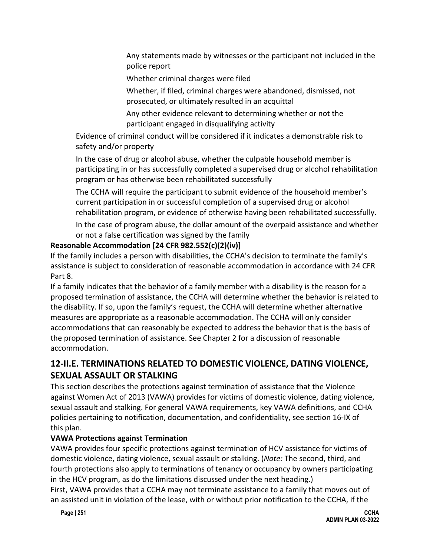Any statements made by witnesses or the participant not included in the police report

Whether criminal charges were filed

Whether, if filed, criminal charges were abandoned, dismissed, not prosecuted, or ultimately resulted in an acquittal

Any other evidence relevant to determining whether or not the participant engaged in disqualifying activity

Evidence of criminal conduct will be considered if it indicates a demonstrable risk to safety and/or property

In the case of drug or alcohol abuse, whether the culpable household member is participating in or has successfully completed a supervised drug or alcohol rehabilitation program or has otherwise been rehabilitated successfully

The CCHA will require the participant to submit evidence of the household member's current participation in or successful completion of a supervised drug or alcohol rehabilitation program, or evidence of otherwise having been rehabilitated successfully. In the case of program abuse, the dollar amount of the overpaid assistance and whether or not a false certification was signed by the family

### **Reasonable Accommodation [24 CFR 982.552(c)(2)(iv)]**

If the family includes a person with disabilities, the CCHA's decision to terminate the family's assistance is subject to consideration of reasonable accommodation in accordance with 24 CFR Part 8.

If a family indicates that the behavior of a family member with a disability is the reason for a proposed termination of assistance, the CCHA will determine whether the behavior is related to the disability. If so, upon the family's request, the CCHA will determine whether alternative measures are appropriate as a reasonable accommodation. The CCHA will only consider accommodations that can reasonably be expected to address the behavior that is the basis of the proposed termination of assistance. See Chapter 2 for a discussion of reasonable accommodation.

## **12-II.E. TERMINATIONS RELATED TO DOMESTIC VIOLENCE, DATING VIOLENCE, SEXUAL ASSAULT OR STALKING**

This section describes the protections against termination of assistance that the Violence against Women Act of 2013 (VAWA) provides for victims of domestic violence, dating violence, sexual assault and stalking. For general VAWA requirements, key VAWA definitions, and CCHA policies pertaining to notification, documentation, and confidentiality, see section 16-IX of this plan.

### **VAWA Protections against Termination**

VAWA provides four specific protections against termination of HCV assistance for victims of domestic violence, dating violence, sexual assault or stalking. (*Note:* The second, third, and fourth protections also apply to terminations of tenancy or occupancy by owners participating in the HCV program, as do the limitations discussed under the next heading.)

First, VAWA provides that a CCHA may not terminate assistance to a family that moves out of an assisted unit in violation of the lease, with or without prior notification to the CCHA, if the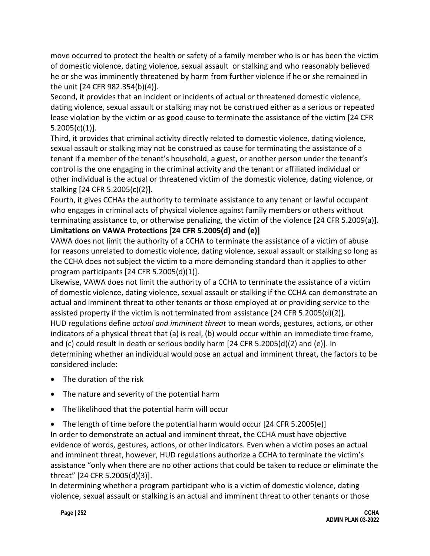move occurred to protect the health or safety of a family member who is or has been the victim of domestic violence, dating violence, sexual assault or stalking and who reasonably believed he or she was imminently threatened by harm from further violence if he or she remained in the unit [24 CFR 982.354(b)(4)].

Second, it provides that an incident or incidents of actual or threatened domestic violence, dating violence, sexual assault or stalking may not be construed either as a serious or repeated lease violation by the victim or as good cause to terminate the assistance of the victim [24 CFR 5.2005(c)(1)].

Third, it provides that criminal activity directly related to domestic violence, dating violence, sexual assault or stalking may not be construed as cause for terminating the assistance of a tenant if a member of the tenant's household, a guest, or another person under the tenant's control is the one engaging in the criminal activity and the tenant or affiliated individual or other individual is the actual or threatened victim of the domestic violence, dating violence, or stalking [24 CFR 5.2005(c)(2)].

Fourth, it gives CCHAs the authority to terminate assistance to any tenant or lawful occupant who engages in criminal acts of physical violence against family members or others without terminating assistance to, or otherwise penalizing, the victim of the violence [24 CFR 5.2009(a)]. **Limitations on VAWA Protections [24 CFR 5.2005(d) and (e)]**

VAWA does not limit the authority of a CCHA to terminate the assistance of a victim of abuse for reasons unrelated to domestic violence, dating violence, sexual assault or stalking so long as the CCHA does not subject the victim to a more demanding standard than it applies to other program participants [24 CFR 5.2005(d)(1)].

Likewise, VAWA does not limit the authority of a CCHA to terminate the assistance of a victim of domestic violence, dating violence, sexual assault or stalking if the CCHA can demonstrate an actual and imminent threat to other tenants or those employed at or providing service to the assisted property if the victim is not terminated from assistance [24 CFR 5.2005(d)(2)]. HUD regulations define *actual and imminent threat* to mean words, gestures, actions, or other indicators of a physical threat that (a) is real, (b) would occur within an immediate time frame, and (c) could result in death or serious bodily harm [24 CFR 5.2005(d)(2) and (e)]. In determining whether an individual would pose an actual and imminent threat, the factors to be considered include:

- The duration of the risk
- The nature and severity of the potential harm
- The likelihood that the potential harm will occur
- The length of time before the potential harm would occur [24 CFR 5.2005(e)] In order to demonstrate an actual and imminent threat, the CCHA must have objective evidence of words, gestures, actions, or other indicators. Even when a victim poses an actual and imminent threat, however, HUD regulations authorize a CCHA to terminate the victim's assistance "only when there are no other actions that could be taken to reduce or eliminate the threat" [24 CFR 5.2005(d)(3)].

In determining whether a program participant who is a victim of domestic violence, dating violence, sexual assault or stalking is an actual and imminent threat to other tenants or those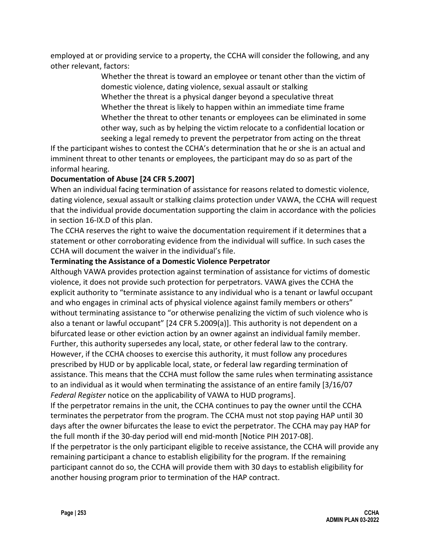employed at or providing service to a property, the CCHA will consider the following, and any other relevant, factors:

> Whether the threat is toward an employee or tenant other than the victim of domestic violence, dating violence, sexual assault or stalking Whether the threat is a physical danger beyond a speculative threat Whether the threat is likely to happen within an immediate time frame Whether the threat to other tenants or employees can be eliminated in some other way, such as by helping the victim relocate to a confidential location or seeking a legal remedy to prevent the perpetrator from acting on the threat

If the participant wishes to contest the CCHA's determination that he or she is an actual and imminent threat to other tenants or employees, the participant may do so as part of the informal hearing.

#### **Documentation of Abuse [24 CFR 5.2007]**

When an individual facing termination of assistance for reasons related to domestic violence, dating violence, sexual assault or stalking claims protection under VAWA, the CCHA will request that the individual provide documentation supporting the claim in accordance with the policies in section 16-IX.D of this plan.

The CCHA reserves the right to waive the documentation requirement if it determines that a statement or other corroborating evidence from the individual will suffice. In such cases the CCHA will document the waiver in the individual's file.

#### **Terminating the Assistance of a Domestic Violence Perpetrator**

Although VAWA provides protection against termination of assistance for victims of domestic violence, it does not provide such protection for perpetrators. VAWA gives the CCHA the explicit authority to "terminate assistance to any individual who is a tenant or lawful occupant and who engages in criminal acts of physical violence against family members or others" without terminating assistance to "or otherwise penalizing the victim of such violence who is also a tenant or lawful occupant" [24 CFR 5.2009(a)]. This authority is not dependent on a bifurcated lease or other eviction action by an owner against an individual family member. Further, this authority supersedes any local, state, or other federal law to the contrary. However, if the CCHA chooses to exercise this authority, it must follow any procedures prescribed by HUD or by applicable local, state, or federal law regarding termination of assistance. This means that the CCHA must follow the same rules when terminating assistance to an individual as it would when terminating the assistance of an entire family [3/16/07 *Federal Register* notice on the applicability of VAWA to HUD programs].

If the perpetrator remains in the unit, the CCHA continues to pay the owner until the CCHA terminates the perpetrator from the program. The CCHA must not stop paying HAP until 30 days after the owner bifurcates the lease to evict the perpetrator. The CCHA may pay HAP for the full month if the 30-day period will end mid-month [Notice PIH 2017-08].

If the perpetrator is the only participant eligible to receive assistance, the CCHA will provide any remaining participant a chance to establish eligibility for the program. If the remaining participant cannot do so, the CCHA will provide them with 30 days to establish eligibility for another housing program prior to termination of the HAP contract.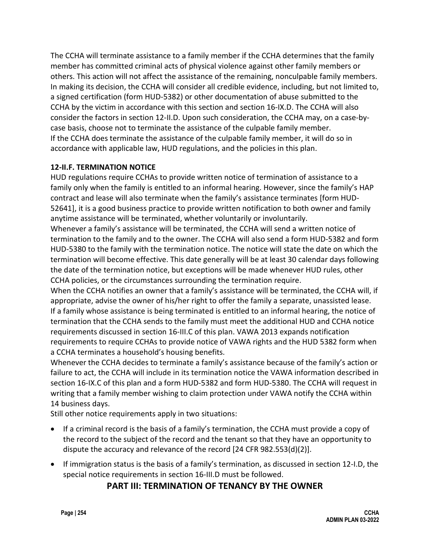The CCHA will terminate assistance to a family member if the CCHA determines that the family member has committed criminal acts of physical violence against other family members or others. This action will not affect the assistance of the remaining, nonculpable family members. In making its decision, the CCHA will consider all credible evidence, including, but not limited to, a signed certification (form HUD-5382) or other documentation of abuse submitted to the CCHA by the victim in accordance with this section and section 16-IX.D. The CCHA will also consider the factors in section 12-II.D. Upon such consideration, the CCHA may, on a case-bycase basis, choose not to terminate the assistance of the culpable family member. If the CCHA does terminate the assistance of the culpable family member, it will do so in accordance with applicable law, HUD regulations, and the policies in this plan.

#### **12-II.F. TERMINATION NOTICE**

HUD regulations require CCHAs to provide written notice of termination of assistance to a family only when the family is entitled to an informal hearing. However, since the family's HAP contract and lease will also terminate when the family's assistance terminates [form HUD-52641], it is a good business practice to provide written notification to both owner and family anytime assistance will be terminated, whether voluntarily or involuntarily.

Whenever a family's assistance will be terminated, the CCHA will send a written notice of termination to the family and to the owner. The CCHA will also send a form HUD-5382 and form HUD-5380 to the family with the termination notice. The notice will state the date on which the termination will become effective. This date generally will be at least 30 calendar days following the date of the termination notice, but exceptions will be made whenever HUD rules, other CCHA policies, or the circumstances surrounding the termination require.

When the CCHA notifies an owner that a family's assistance will be terminated, the CCHA will, if appropriate, advise the owner of his/her right to offer the family a separate, unassisted lease. If a family whose assistance is being terminated is entitled to an informal hearing, the notice of termination that the CCHA sends to the family must meet the additional HUD and CCHA notice requirements discussed in section 16-III.C of this plan. VAWA 2013 expands notification requirements to require CCHAs to provide notice of VAWA rights and the HUD 5382 form when a CCHA terminates a household's housing benefits.

Whenever the CCHA decides to terminate a family's assistance because of the family's action or failure to act, the CCHA will include in its termination notice the VAWA information described in section 16-IX.C of this plan and a form HUD-5382 and form HUD-5380. The CCHA will request in writing that a family member wishing to claim protection under VAWA notify the CCHA within 14 business days.

Still other notice requirements apply in two situations:

- If a criminal record is the basis of a family's termination, the CCHA must provide a copy of the record to the subject of the record and the tenant so that they have an opportunity to dispute the accuracy and relevance of the record [24 CFR 982.553(d)(2)].
- If immigration status is the basis of a family's termination, as discussed in section 12-I.D, the special notice requirements in section 16-III.D must be followed.

### **PART III: TERMINATION OF TENANCY BY THE OWNER**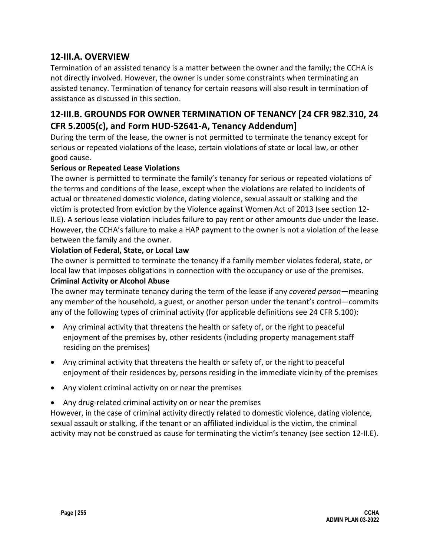## **12-III.A. OVERVIEW**

Termination of an assisted tenancy is a matter between the owner and the family; the CCHA is not directly involved. However, the owner is under some constraints when terminating an assisted tenancy. Termination of tenancy for certain reasons will also result in termination of assistance as discussed in this section.

## **12-III.B. GROUNDS FOR OWNER TERMINATION OF TENANCY [24 CFR 982.310, 24 CFR 5.2005(c), and Form HUD-52641-A, Tenancy Addendum]**

During the term of the lease, the owner is not permitted to terminate the tenancy except for serious or repeated violations of the lease, certain violations of state or local law, or other good cause.

#### **Serious or Repeated Lease Violations**

The owner is permitted to terminate the family's tenancy for serious or repeated violations of the terms and conditions of the lease, except when the violations are related to incidents of actual or threatened domestic violence, dating violence, sexual assault or stalking and the victim is protected from eviction by the Violence against Women Act of 2013 (see section 12- II.E). A serious lease violation includes failure to pay rent or other amounts due under the lease. However, the CCHA's failure to make a HAP payment to the owner is not a violation of the lease between the family and the owner.

#### **Violation of Federal, State, or Local Law**

The owner is permitted to terminate the tenancy if a family member violates federal, state, or local law that imposes obligations in connection with the occupancy or use of the premises. **Criminal Activity or Alcohol Abuse**

The owner may terminate tenancy during the term of the lease if any *covered person*—meaning any member of the household, a guest, or another person under the tenant's control—commits any of the following types of criminal activity (for applicable definitions see 24 CFR 5.100):

- Any criminal activity that threatens the health or safety of, or the right to peaceful enjoyment of the premises by, other residents (including property management staff residing on the premises)
- Any criminal activity that threatens the health or safety of, or the right to peaceful enjoyment of their residences by, persons residing in the immediate vicinity of the premises
- Any violent criminal activity on or near the premises
- Any drug-related criminal activity on or near the premises

However, in the case of criminal activity directly related to domestic violence, dating violence, sexual assault or stalking, if the tenant or an affiliated individual is the victim, the criminal activity may not be construed as cause for terminating the victim's tenancy (see section 12-II.E).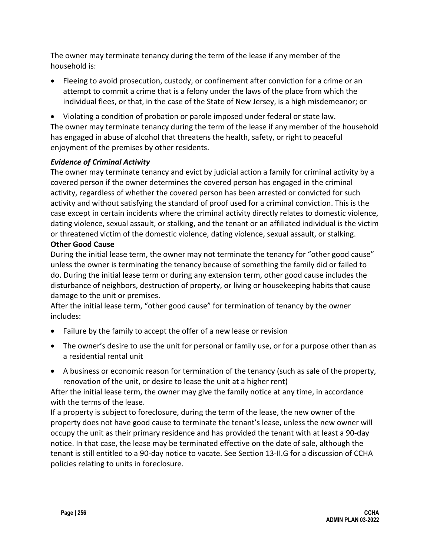The owner may terminate tenancy during the term of the lease if any member of the household is:

• Fleeing to avoid prosecution, custody, or confinement after conviction for a crime or an attempt to commit a crime that is a felony under the laws of the place from which the individual flees, or that, in the case of the State of New Jersey, is a high misdemeanor; or

• Violating a condition of probation or parole imposed under federal or state law. The owner may terminate tenancy during the term of the lease if any member of the household has engaged in abuse of alcohol that threatens the health, safety, or right to peaceful enjoyment of the premises by other residents.

### *Evidence of Criminal Activity*

The owner may terminate tenancy and evict by judicial action a family for criminal activity by a covered person if the owner determines the covered person has engaged in the criminal activity, regardless of whether the covered person has been arrested or convicted for such activity and without satisfying the standard of proof used for a criminal conviction. This is the case except in certain incidents where the criminal activity directly relates to domestic violence, dating violence, sexual assault, or stalking, and the tenant or an affiliated individual is the victim or threatened victim of the domestic violence, dating violence, sexual assault, or stalking.

#### **Other Good Cause**

During the initial lease term, the owner may not terminate the tenancy for "other good cause" unless the owner is terminating the tenancy because of something the family did or failed to do. During the initial lease term or during any extension term, other good cause includes the disturbance of neighbors, destruction of property, or living or housekeeping habits that cause damage to the unit or premises.

After the initial lease term, "other good cause" for termination of tenancy by the owner includes:

- Failure by the family to accept the offer of a new lease or revision
- The owner's desire to use the unit for personal or family use, or for a purpose other than as a residential rental unit
- A business or economic reason for termination of the tenancy (such as sale of the property, renovation of the unit, or desire to lease the unit at a higher rent)

After the initial lease term, the owner may give the family notice at any time, in accordance with the terms of the lease.

If a property is subject to foreclosure, during the term of the lease, the new owner of the property does not have good cause to terminate the tenant's lease, unless the new owner will occupy the unit as their primary residence and has provided the tenant with at least a 90-day notice. In that case, the lease may be terminated effective on the date of sale, although the tenant is still entitled to a 90-day notice to vacate. See Section 13-II.G for a discussion of CCHA policies relating to units in foreclosure.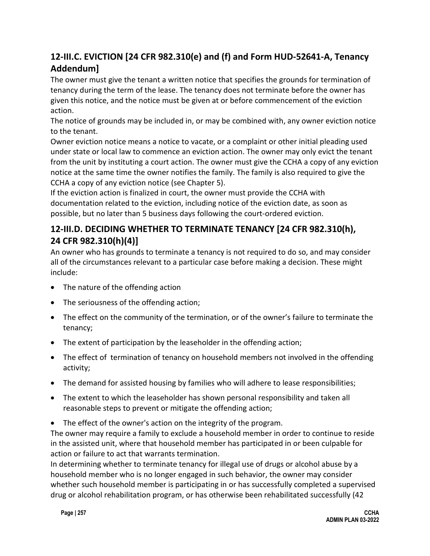# **12-III.C. EVICTION [24 CFR 982.310(e) and (f) and Form HUD-52641-A, Tenancy Addendum]**

The owner must give the tenant a written notice that specifies the grounds for termination of tenancy during the term of the lease. The tenancy does not terminate before the owner has given this notice, and the notice must be given at or before commencement of the eviction action.

The notice of grounds may be included in, or may be combined with, any owner eviction notice to the tenant.

Owner eviction notice means a notice to vacate, or a complaint or other initial pleading used under state or local law to commence an eviction action. The owner may only evict the tenant from the unit by instituting a court action. The owner must give the CCHA a copy of any eviction notice at the same time the owner notifies the family. The family is also required to give the CCHA a copy of any eviction notice (see Chapter 5).

If the eviction action is finalized in court, the owner must provide the CCHA with documentation related to the eviction, including notice of the eviction date, as soon as possible, but no later than 5 business days following the court-ordered eviction.

# **12-III.D. DECIDING WHETHER TO TERMINATE TENANCY [24 CFR 982.310(h), 24 CFR 982.310(h)(4)]**

An owner who has grounds to terminate a tenancy is not required to do so, and may consider all of the circumstances relevant to a particular case before making a decision. These might include:

- The nature of the offending action
- The seriousness of the offending action;
- The effect on the community of the termination, or of the owner's failure to terminate the tenancy;
- The extent of participation by the leaseholder in the offending action;
- The effect of termination of tenancy on household members not involved in the offending activity;
- The demand for assisted housing by families who will adhere to lease responsibilities;
- The extent to which the leaseholder has shown personal responsibility and taken all reasonable steps to prevent or mitigate the offending action;
- The effect of the owner's action on the integrity of the program.

The owner may require a family to exclude a household member in order to continue to reside in the assisted unit, where that household member has participated in or been culpable for action or failure to act that warrants termination.

In determining whether to terminate tenancy for illegal use of drugs or alcohol abuse by a household member who is no longer engaged in such behavior, the owner may consider whether such household member is participating in or has successfully completed a supervised drug or alcohol rehabilitation program, or has otherwise been rehabilitated successfully (42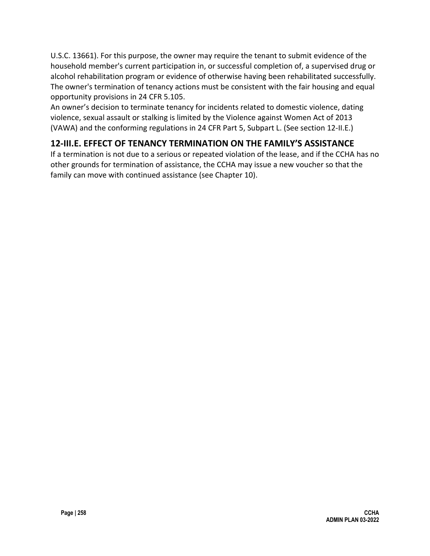U.S.C. 13661). For this purpose, the owner may require the tenant to submit evidence of the household member's current participation in, or successful completion of, a supervised drug or alcohol rehabilitation program or evidence of otherwise having been rehabilitated successfully. The owner's termination of tenancy actions must be consistent with the fair housing and equal opportunity provisions in 24 CFR 5.105.

An owner's decision to terminate tenancy for incidents related to domestic violence, dating violence, sexual assault or stalking is limited by the Violence against Women Act of 2013 (VAWA) and the conforming regulations in 24 CFR Part 5, Subpart L. (See section 12-II.E.)

## **12-III.E. EFFECT OF TENANCY TERMINATION ON THE FAMILY'S ASSISTANCE**

If a termination is not due to a serious or repeated violation of the lease, and if the CCHA has no other grounds for termination of assistance, the CCHA may issue a new voucher so that the family can move with continued assistance (see Chapter 10).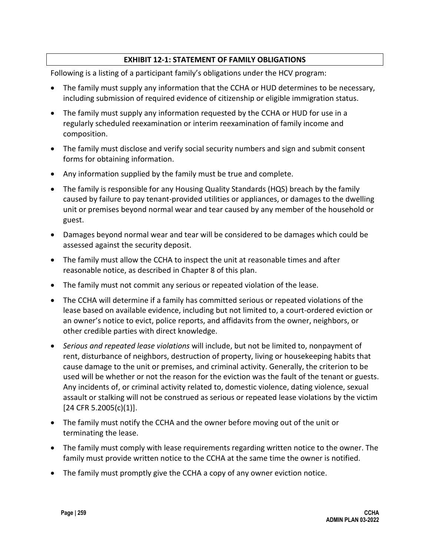#### **EXHIBIT 12-1: STATEMENT OF FAMILY OBLIGATIONS**

Following is a listing of a participant family's obligations under the HCV program:

- The family must supply any information that the CCHA or HUD determines to be necessary, including submission of required evidence of citizenship or eligible immigration status.
- The family must supply any information requested by the CCHA or HUD for use in a regularly scheduled reexamination or interim reexamination of family income and composition.
- The family must disclose and verify social security numbers and sign and submit consent forms for obtaining information.
- Any information supplied by the family must be true and complete.
- The family is responsible for any Housing Quality Standards (HQS) breach by the family caused by failure to pay tenant-provided utilities or appliances, or damages to the dwelling unit or premises beyond normal wear and tear caused by any member of the household or guest.
- Damages beyond normal wear and tear will be considered to be damages which could be assessed against the security deposit.
- The family must allow the CCHA to inspect the unit at reasonable times and after reasonable notice, as described in Chapter 8 of this plan.
- The family must not commit any serious or repeated violation of the lease.
- The CCHA will determine if a family has committed serious or repeated violations of the lease based on available evidence, including but not limited to, a court-ordered eviction or an owner's notice to evict, police reports, and affidavits from the owner, neighbors, or other credible parties with direct knowledge.
- *Serious and repeated lease violations* will include, but not be limited to, nonpayment of rent, disturbance of neighbors, destruction of property, living or housekeeping habits that cause damage to the unit or premises, and criminal activity. Generally, the criterion to be used will be whether or not the reason for the eviction was the fault of the tenant or guests. Any incidents of, or criminal activity related to, domestic violence, dating violence, sexual assault or stalking will not be construed as serious or repeated lease violations by the victim [24 CFR 5.2005(c)(1)].
- The family must notify the CCHA and the owner before moving out of the unit or terminating the lease.
- The family must comply with lease requirements regarding written notice to the owner. The family must provide written notice to the CCHA at the same time the owner is notified.
- The family must promptly give the CCHA a copy of any owner eviction notice.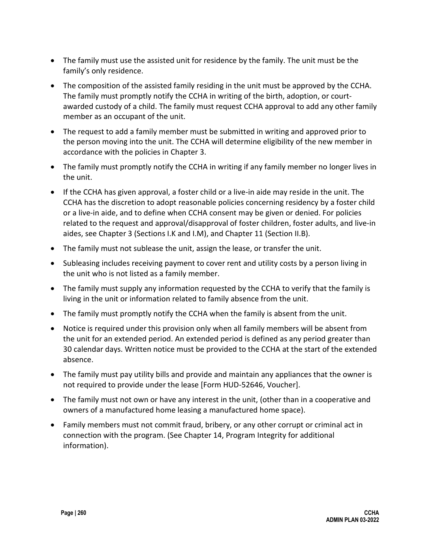- The family must use the assisted unit for residence by the family. The unit must be the family's only residence.
- The composition of the assisted family residing in the unit must be approved by the CCHA. The family must promptly notify the CCHA in writing of the birth, adoption, or courtawarded custody of a child. The family must request CCHA approval to add any other family member as an occupant of the unit.
- The request to add a family member must be submitted in writing and approved prior to the person moving into the unit. The CCHA will determine eligibility of the new member in accordance with the policies in Chapter 3.
- The family must promptly notify the CCHA in writing if any family member no longer lives in the unit.
- If the CCHA has given approval, a foster child or a live-in aide may reside in the unit. The CCHA has the discretion to adopt reasonable policies concerning residency by a foster child or a live-in aide, and to define when CCHA consent may be given or denied. For policies related to the request and approval/disapproval of foster children, foster adults, and live-in aides, see Chapter 3 (Sections I.K and I.M), and Chapter 11 (Section II.B).
- The family must not sublease the unit, assign the lease, or transfer the unit.
- Subleasing includes receiving payment to cover rent and utility costs by a person living in the unit who is not listed as a family member.
- The family must supply any information requested by the CCHA to verify that the family is living in the unit or information related to family absence from the unit.
- The family must promptly notify the CCHA when the family is absent from the unit.
- Notice is required under this provision only when all family members will be absent from the unit for an extended period. An extended period is defined as any period greater than 30 calendar days. Written notice must be provided to the CCHA at the start of the extended absence.
- The family must pay utility bills and provide and maintain any appliances that the owner is not required to provide under the lease [Form HUD-52646, Voucher].
- The family must not own or have any interest in the unit, (other than in a cooperative and owners of a manufactured home leasing a manufactured home space).
- Family members must not commit fraud, bribery, or any other corrupt or criminal act in connection with the program. (See Chapter 14, Program Integrity for additional information).